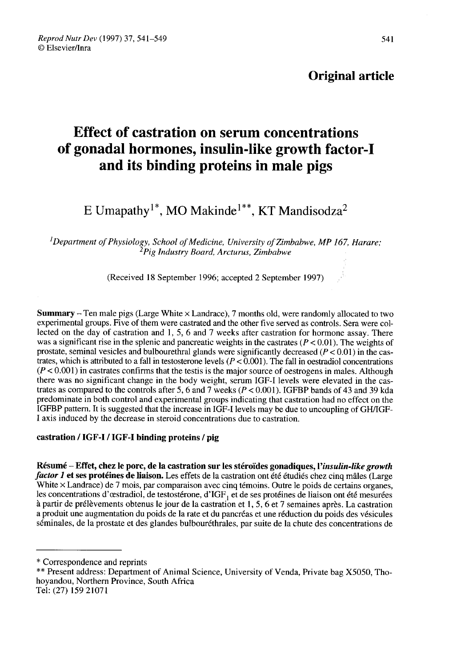# Original article

# Effect of castration on serum concentrations of gonadal hormones, insulin-like growth factor-I and its binding proteins in male pigs ffect of castration on serum concentratio<br>onadal hormones, insulin-like growth fac<br>and its binding proteins in male pigs<br>E Umapathy<sup>1\*</sup>, MO Makinde<sup>1\*\*</sup>, KT Mandisodza<sup>:</sup>

 ${}^{1}$ Department of Physiology, School of Medicine, University of Zimbabwe, MP 167, Harare;<br><sup>2</sup>Pig Industry Board, Arcturus, Zimbabwe

(Received 18 September 1996; accepted 2 September 1997) '

**Summary** – Ten male pigs (Large White  $\times$  Landrace), 7 months old, were randomly allocated to two experimental groups. Five of them were castrated and the other five served as controls. Sera were collected on the day of castration and 1, 5, 6 and 7 weeks after castration for hormone assay. There was a significant rise in the splenic and pancreatic weights in the castrates ( $P < 0.01$ ). The weights of prostate, seminal vesicles and bulbourethral glands were significantly decreased ( $P < 0.01$ ) in the castrates, which is attributed to a fall in testosterone levels ( $P < 0.001$ ). The fall in oestradiol concentrations ( $P < 0.001$ ) in castrates confirms that the testis is the major source of oestrogens in males. Although there was no significant change in the body weight, serum IGF-I levels were elevated in the castrates as compared to the controls after 5, 6 and 7 weeks ( $P < 0.001$ ). IGFBP bands of 43 and 39 kda predominate in both control and experimental groups indicating that castration had no effect on the IGFBP pattern. It is suggested that the increase in IGF-I levels may be due to uncoupling of GH/IGF-I axis induced by the decrease in steroid concentrations due to castration.

# castration / IGF-I / IGF-I binding proteins / pig

Résumé – Effet, chez le porc, de la castration sur les stéroïdes gonadiques, l'insulin-like growth factor 1 et ses protéines de liaison. Les effets de la castration ont été étudiés chez cinq mâles (Large White  $\times$  Landrace) de 7 mois, par comparaison avec cinq témoins. Outre le poids de certains organes, les concentrations d'œstradiol, de testostérone, d'IGF<sub>1</sub> et de ses protéines de liaison ont été mesurées à partir de prélèvements obtenus le jour de la castration et 1, 5, 6 et 7 semaines après. La castration a produit une augmentation du poids de la rate et du pancréas et une réduction du poids des vésicules séminales, de la prostate et des glandes bulbouréthrales, par suite de la chute des concentrations de

\* Correspondence and reprints

\*\* Present address: Department of Animal Science, University of Venda, Private bag X5050, Thohoyandou, Northern Province, South Africa Tel: (27) 159 21071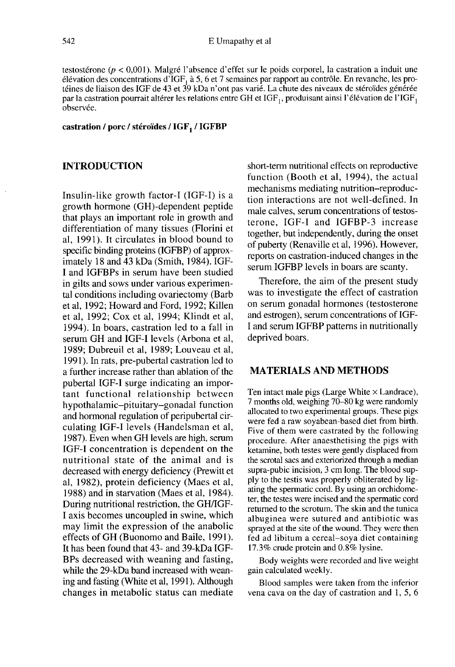testostérone ( $p < 0.001$ ). Malgré l'absence d'effet sur le poids corporel, la castration a induit une élévation des concentrations d'IGF<sub>1</sub> à 5, 6 et 7 semaines par rapport au contrôle. En revanche, les pro-<br>téines de liaison des IGF de 43 et 39 kDa n'ont pas varié. La chute des niveaux de stéroïdes générée<br>par la castrati téines de liaison des IGF de 43 et 39 kDa n'ont pas varié. La chute des niveaux de stéroïdes générée<br>par la castration pourrait altérer les relations entre GH et IGF<sub>1</sub>, produisant ainsi l'élévation de l'IGF<sub>1</sub> observée.

#### castration / porc / stéroïdes / IGF1 / IGFBP

# INTRODUCTION

Insulin-like growth factor-I (IGF-1) is a growth hormone (GH)-dependent peptide that plays an important role in growth and differentiation of many tissues (Florini et al, 1991). It circulates in blood bound to specific binding proteins (IGFBP) of approximately 18 and 43 kDa (Smith, 1984). IGF-I and IGFBPs in serum have been studied in gilts and sows under various experimental conditions including ovariectomy (Barb et al, 1992; Howard and Ford, 1992; Killen et al, 1992; Cox et al, 1994; Klindt et al, 1994). In boars, castration led to a fall in serum GH and IGF-I levels (Arbona et al, 1989; Dubreuil et al, 1989; Louveau et al, 1991). In rats, pre-pubertal castration led to a further increase rather than ablation of the pubertal IGF-I surge indicating an impor tant functional relationship between hypothalamic-pituitary-gonadal function and hormonal regulation of peripubertal circulating IGF-I levels (Handelsman et al, 1987). Even when GH levels are high, serum IGF-I concentration is dependent on the nutritional state of the animal and is decreased with energy deficiency (Prewitt et al, 1982), protein deficiency (Maes et al, 1988) and in starvation (Maes et al, 1984). During nutritional restriction, the GH/IGF-I axis becomes uncoupled in swine, which may limit the expression of the anabolic effects of GH (Buonomo and Baile, 1991). It has been found that 43- and 39-kDa IGF-BPs decreased with weaning and fasting, while the 29-kDa band increased with weaning and fasting (White et al, 1991). Although changes in metabolic status can mediate

short-term nutritional effects on reproductive function (Booth et al, 1994), the actual mechanisms mediating nutrition-reproduction interactions are not well-defined. In male calves, serum concentrations of testosterone, IGF-I and IGFBP-3 increase together, but independently, during the onset of puberty (Renaville et al, 1996). However, reports on castration-induced changes in the serum IGFBP levels in boars are scanty.

Therefore, the aim of the present study was to investigate the effect of castration on serum gonadal hormones (testosterone and estrogen), serum concentrations of IGF-I and serum IGFBP patterns in nutritionally deprived boars.

# MATERIALS AND METHODS

Ten intact male pigs (Large White  $\times$  Landrace), 7 months old, weighing 70-80 kg were randomly allocated to two experimental groups. These pigs were fed a raw soyabean-based diet from birth. Five of them were castrated by the following procedure. After anaesthetising the pigs with ketamine, both testes were gently displaced from the scrotal sacs and exteriorized through a median supra-pubic incision, 3 cm long. The blood supply to the testis was properly obliterated by ligating the spermatic cord. By using an orchidometer, the testes were incised and the spermatic cord returned to the scrotum. The skin and the tunica albuginea were sutured and antibiotic was sprayed at the site of the wound. They were then fed ad libitum a cereal-soya diet containing 17.3% crude protein and 0.8% lysine.

Body weights were recorded and live weight gain calculated weekly.

Blood samples were taken from the inferior vena cava on the day of castration and 1, 5, 6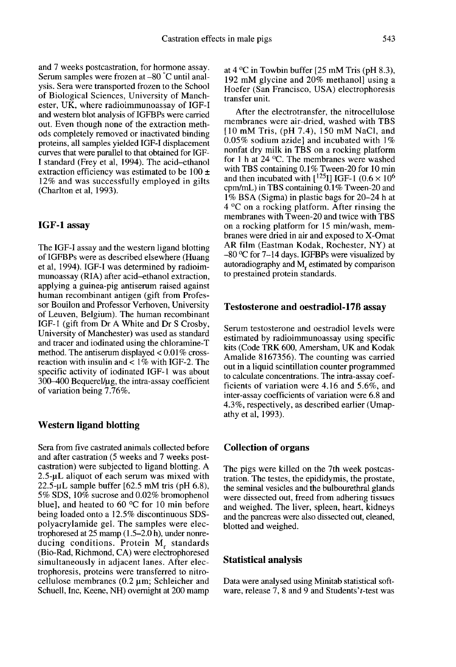and 7 weeks postcastration, for hormone assay. Serum samples were frozen at -80 °C until analysis. Sera were transported frozen to the School of Biological Sciences, University of Manchester, UK, where radioimmunoassay of IGF-I and western blot analysis of IGFBPs were carried out. Even though none of the extraction methods completely removed or inactivated binding proteins, all samples yielded IGF-I displacement curves that were parallel to that obtained for IGF-I standard (Frey et al, 1994). The acid-ethanol extraction efficiency was estimated to be  $100 \pm$ 12% and was successfully employed in gilts (Charlton et al, 1993).

### IGF-1 assay

The IGF-I assay and the western ligand blotting of IGFBPs were as described elsewhere (Huang et al, 1994). IGF-I was determined by radioimmunoassay (RIA) after acid-ethanol extraction, applying a guinea-pig antiserum raised against human recombinant antigen (gift from Professor Bouilon and Professor Verhoven, University of Leuven, Belgium). The human recombinant IGF-1 (gift from Dr A White and Dr S Crosby, University of Manchester) was used as standard and tracer and iodinated using the chloramine-T method. The antiserum displayed  $< 0.01\%$  crossreaction with insulin and  $< 1\%$  with IGF-2. The specific activity of iodinated IGF-1 was about  $300-400$  Bequerel/ $\mu$ g, the intra-assay coefficient of variation being 7.76%.

## Western ligand blotting

Sera from five castrated animals collected before and after castration (5 weeks and 7 weeks postcastration) were subjected to ligand blotting. A 2.5-µL aliquot of each serum was mixed with  $22.5$ -µL sample buffer [62.5 mM tris (pH 6.8), 5% SDS, 10% sucrose and 0.02% bromophenol blue], and heated to 60 °C for 10 min before being loaded onto a 12.5% discontinuous SDSpolyacrylamide gel. The samples were electrophoresed at  $25$  mamp  $(1.5-2.0 h)$ , under nonreducing conditions. Protein M, standards (Bio-Rad, Richmond, CA) were electrophoresed simultaneously in adjacent lanes. After electrophoresis, proteins were transferred to nitrocellulose membranes  $(0.2 \mu m)$ ; Schleicher and Schuell, Inc, Keene, NH) overnight at 200 mamp

at  $4^{\circ}$ C in Towbin buffer [25 mM Tris (pH 8.3), 192 mM glycine and 20% methanol] using a Hoefer (San Francisco, USA) electrophoresis transfer unit.

After the electrotransfer, the nitrocellulose membranes were air-dried, washed with TBS [10 mM Tris, (pH 7.4), 150 mM NaCI, and 0.05% sodium azide] and incubated with  $1\%$ nonfat dry milk in TBS on a rocking platform for 1 h at 24 °C. The membranes were washed with TBS containing 0.1% Tween-20 for 10 min and then incubated with  $[$ <sup>125</sup>I] IGF-1 (0.6  $\times$  10<sup>6</sup> cpm/mL) in TBS containing 0.1 % Tween-20 and 1 % BSA (Sigma) in plastic bags for 20-24 h at 4 °C on a rocking platform. After rinsing the membranes with Tween-20 and twice with TBS on a rocking platform for 15 min/wash, membranes were dried in air and exposed to X-Omat AR film (Eastman Kodak, Rochester, NY) at  $-80$  °C for 7–14 days. IGFBPs were visualized by autoradiography and  $M_r$  estimated by comparison to prestained protein standards.

#### Testosterone and oestradiol-17B assay

Serum testosterone and oestradiol levels were estimated by radioimmunoassay using specific kits (Code TRK 600, Amersham, UK and Kodak Amalide 8167356). The counting was carried out in a liquid scintillation counter programmed to calculate concentrations. The intra-assay coefficients of variation were 4.16 and 5.6%, and inter-assay coefficients of variation were 6.8 and 4.3%, respectively, as described earlier (Umapathy et al, 1993).

### Collection of organs

The pigs were killed on the 7th week postcastration. The testes, the epididymis, the prostate, the seminal vesicles and the bulbourethral glands were dissected out, freed from adhering tissues and weighed. The liver, spleen, heart, kidneys and the pancreas were also dissected out, cleaned, blotted and weighed.

#### Statistical analysis

Data were analysed using Minitab statistical software, release 7, 8 and 9 and Students't-test was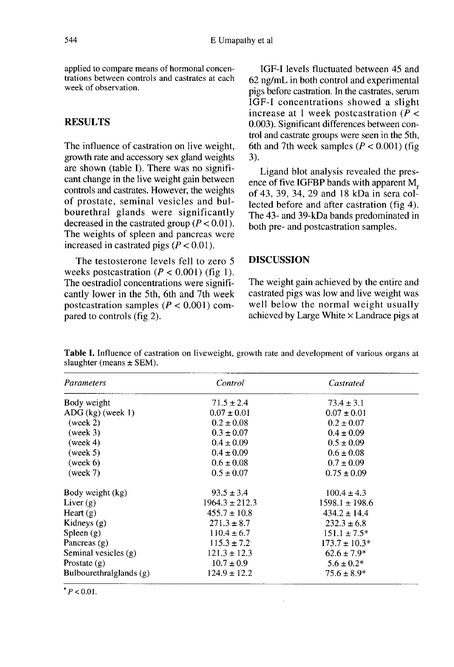applied to compare means of hormonal concentrations between controls and castrates at each week of observation.

# **RESULTS**

The influence of castration on live weight, growth rate and accessory sex gland weights are shown (table I). There was no signifi cant change in the live weight gain between controls and castrates. However, the weights of prostate, seminal vesicles and bulbourethral glands were significantly decreased in the castrated group  $(P < 0.01)$ . The weights of spleen and pancreas were increased in castrated pigs  $(P < 0.01)$ .

The testosterone levels fell to zero 5 weeks postcastration  $(P < 0.001)$  (fig 1). The oestradiol concentrations were significantly lower in the 5th, 6th and 7th week postcastration samples ( $P < 0.001$ ) compared to controls (fig 2).

IGF-I levels fluctuated between 45 and 62 ng/mL in both control and experimental pigs before castration. In the castrates, serum IGF-I concentrations showed a slight increase at 1 week postcastration  $(P <$ 0.003). Significant differences between control and castrate groups were seen in the 5th, 6th and 7th week samples  $(P < 0.001)$  (fig. 3).

Ligand blot analysis revealed the presence of five IGFBP bands with apparent M, of 43, 39, 34, 29 and 18 kDa in sera collected before and after castration (fig 4). The 43- and 39-kDa bands predominated in both pre- and postcastration samples.

# DISCUSSION

The weight gain achieved by the entire and castrated pigs was low and live weight was well below the normal weight usually achieved by Large White  $\times$  Landrace pigs at

Table I. Influence of castration on liveweight, growth rate and development of various organs at slaughter (means  $\pm$  SEM).

| Parameters              | Control            | Castrated          |
|-------------------------|--------------------|--------------------|
| Body weight             | $71.5 \pm 2.4$     | $73.4 \pm 3.1$     |
| $ADG$ (kg) (week 1)     | $0.07 \pm 0.01$    | $0.07 \pm 0.01$    |
| (week 2)                | $0.2 \pm 0.08$     | $0.2 \pm 0.07$     |
| (week 3)                | $0.3 \pm 0.07$     | $0.4 \pm 0.09$     |
| (week 4)                | $0.4 \pm 0.09$     | $0.5 \pm 0.09$     |
| (week 5)                | $0.4 \pm 0.09$     | $0.6 \pm 0.08$     |
| (week 6)                | $0.6 \pm 0.08$     | $0.7 \pm 0.09$     |
| (week 7)                | $0.5 \pm 0.07$     | $0.75 \pm 0.09$    |
| Body weight (kg)        | $93.5 \pm 3.4$     | $100.4 \pm 4.3$    |
| Liver $(g)$             | $1964.3 \pm 212.3$ | $1598.1 \pm 198.6$ |
| Heart $(g)$             | $455.7 \pm 10.8$   | $434.2 \pm 14.4$   |
| Kidneys $(g)$           | $271.3 \pm 8.7$    | $232.3 \pm 6.8$    |
| $S$ pleen $(g)$         | $110.4 \pm 6.7$    | $151.1 \pm 7.5^*$  |
| Pancreas (g)            | $115.3 \pm 7.2$    | $173.7 \pm 10.3*$  |
| Seminal vesicles (g)    | $121.3 \pm 12.3$   | $62.6 \pm 7.9*$    |
| Prostate $(g)$          | $10.7 \pm 0.9$     | $5.6 \pm 0.2*$     |
| Bulbourethralglands (g) | $124.9 \pm 12.2$   | $75.6 \pm 8.9*$    |

 $* P < 0.01$ .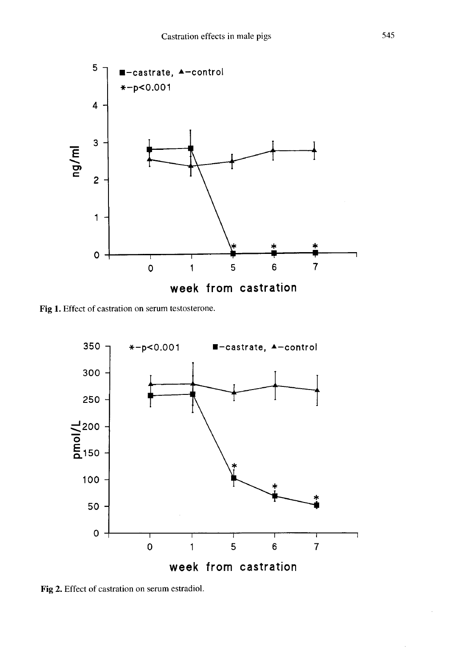

Fig 1. Effect of castration on serum testosterone.



Fig 2. Effect of castration on serum estradiol.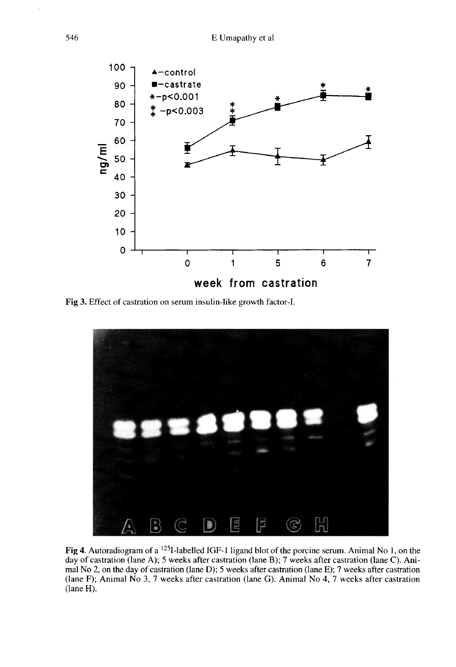

Fig 3. Effect of castration on serum insulin-like growth factor-I.



Fig 4. Autoradiogram of a <sup>125</sup>I-labelled IGF-1 ligand blot of the porcine serum. Animal No 1, on the day of castration (lane A); 5 weeks after castration (lane B); 7 weeks after castration (lane C). Animal No 2, on the day of castration (lane D); 5 weeks after castration (lane E); 7 weeks after castration (lane F); Animal No 3, 7 weeks after castration (lane G). Animal No 4, 7 weeks after castration  $(lane H)$ .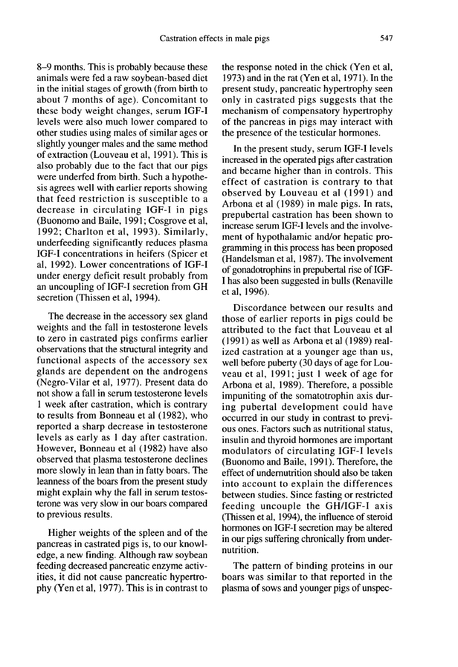8-9 months. This is probably because these animals were fed a raw soybean-based diet in the initial stages of growth (from birth to about 7 months of age). Concomitant to these body weight changes, serum IGF-I levels were also much lower compared to other studies using males of similar ages or slightly younger males and the same method of extraction (Louveau et al, 1991). This is also probably due to the fact that our pigs were underfed from birth. Such a hypothesis agrees well with earlier reports showing that feed restriction is susceptible to a decrease in circulating IGF-I in pigs (Buonomo and Baile, 1991; Cosgrove et al, 1992; Charlton et al, 1993). Similarly, underfeeding significantly reduces plasma IGF-I concentrations in heifers (Spicer et al, 1992). Lower concentrations of IGF-I under energy deficit result probably from an uncoupling of IGF-I secretion from GH secretion (Thissen et al, 1994).

The decrease in the accessory sex gland weights and the fall in testosterone levels to zero in castrated pigs confirms earlier observations that the structural integrity and functional aspects of the accessory sex glands are dependent on the androgens (Negro-Vilar et al, 1977). Present data do not show a fall in serum testosterone levels 1 week after castration, which is contrary to results from Bonneau et al (1982), who reported a sharp decrease in testosterone levels as early as 1 day after castration. However, Bonneau et al (1982) have also observed that plasma testosterone declines more slowly in lean than in fatty boars. The leanness of the boars from the present study might explain why the fall in serum testosterone was very slow in our boars compared to previous results.

Higher weights of the spleen and of the pancreas in castrated pigs is, to our knowledge, a new finding. Although raw soybean feeding decreased pancreatic enzyme activities, it did not cause pancreatic hypertrophy (Yen et al, 1977). This is in contrast to the response noted in the chick (Yen et al, 1973) and in the rat (Yen et al, 1971). In the present study, pancreatic hypertrophy seen only in castrated pigs suggests that the mechanism of compensatory hypertrophy of the pancreas in pigs may interact with the presence of the testicular hormones.

In the present study, serum IGF-I levels increased in the operated pigs after castration and became higher than in controls. This effect of castration is contrary to that observed by Louveau et al (1991) and Arbona et al (1989) in male pigs. In rats, prepubertal castration has been shown to increase serum IGF-I levels and the involvement of hypothalamic and/or hepatic programming in this process has been proposed (Handelsman et al, 1987). The involvement of gonadotrophins in prepubertal rise of IGF-I has also been suggested in bulls (Renaville et al, 1996).

Discordance between our results and those of earlier reports in pigs could be attributed to the fact that Louveau et al (1991) as well as Arbona et al (1989) realized castration at a younger age than us, well before puberty (30 days of age for Louveau et al, 1991; just 1 week of age for Arbona et al, 1989). Therefore, a possible impuniting of the somatotrophin axis during pubertal development could have occurred in our study in contrast to previ ous ones. Factors such as nutritional status, insulin and thyroid hormones are important modulators of circulating IGF-I levels (Buonomo and Baile, 1991). Therefore, the effect of undernutrition should also be taken into account to explain the differences between studies. Since fasting or restricted feeding uncouple the GH/IGF-I axis (Thissen et al, 1994), the influence of steroid hormones on IGF-I secretion may be altered in our pigs suffering chronically from undernutrition.

The pattern of binding proteins in our boars was similar to that reported in the plasma of sows and younger pigs of unspec-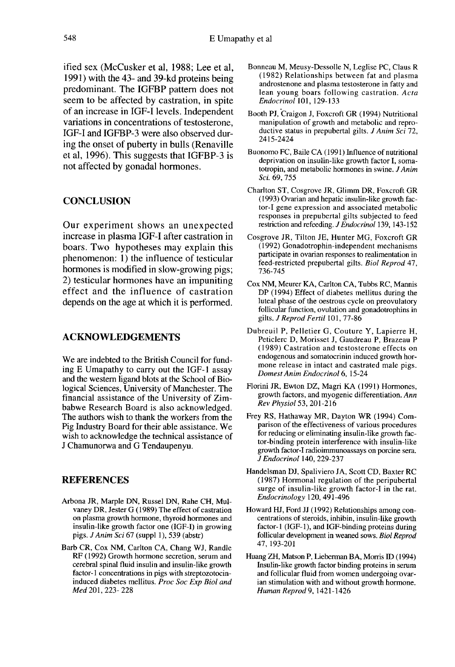ified sex (McCusker et al, 1988; Lee et al, 1991) with the 43- and 39-kd proteins being predominant. The IGFBP pattern does not seem to be affected by castration, in spite of an increase in IGF-I levels. Independent variations in concentrations of testosterone, IGF-I and IGFBP-3 were also observed during the onset of puberty in bulls (Renaville et al, 1996). This suggests that IGFBP-3 is not affected by gonadal hormones.

# **CONCLUSION**

Our experiment shows an unexpected increase in plasma IGF-I after castration in boars. Two hypotheses may explain this phenomenon: 1) the influence of testicular hormones is modified in slow-growing pigs; 2) testicular hormones have an impuniting effect and the influence of castration depends on the age at which it is performed.

# ACKNOWLEDGEMENTS

We are indebted to the British Council for funding  $E$  Umapathy to carry out the IGF-1 assay and the western ligand blots at the School of Biological Sciences, University of Manchester. The financial assistance of the University of Zimbabwe Research Board is also acknowledged. The authors wish to thank the workers from the Pig Industry Board for their able assistance. We wish to acknowledge the technical assistance of J Chamunorwa and G Tendaupenyu.

# REFERENCES

- Arbona JR, Marple DN, Russel DN, Rahe CH, Mulvaney DR, Jester G (1989) The effect of castration on plasma growth hormone, thyroid hormones and insulin-like growth factor one (IGF-1) in growing pigs.  $J$  Anim Sci 67 (suppl 1), 539 (abstr)
- Barb CR, Cox NM, Carlton CA, Chang WJ, Randle RF (1992) Growth hormone secretion, serum and cerebral spinal fluid insulin and insulin-like growth factor-1 concentrations in pigs with streptozotocin induced diabetes mellitus. Proc Soc Exp Biol and Med 201, 223- 228
- Bonneau M, Meusy-Dessolle N, Leglise PC, Claus R (1982) Relationships between fat and plasma androstenone and plasma testosterone in fatty and lean young boars following castration. Acta Endocrinol 101, 129-133
- Booth PJ, Craigon J, Foxcroft GR (1994) Nutritional manipulation of growth and metabolic and repro ductive status in prepubertal gilts. J Anim Sci 72, 2415-2424
- Buonomo FC, Baile CA (1991) Influence of nutritional deprivation on insulin-like growth factor I, somatotropin, and metabolic hormones in swine. JAnim Sci. 69, 755
- Charlton ST, Cosgrove JR, Glimm DR, Foxcroft GR (1993) Ovarian and hepatic insulin-like growth factor-I gene expression and associated metabolic responses in prepubertal gilts subjected to feed restriction and refeeding. J Endocrinol 139, 143-152
- Cosgrove JR, Tilton JE, Hunter MG, Foxcroft GR (1992) Gonadotrophin-independent mechanisms participate in ovarian responses to realimentation in feed-restricted prepubertal gilts. Biol Reprod 47, 736-745
- Cox NM, Meurer KA, Carlton CA, Tubbs RC, Mannis DP (1994) Effect of diabetes mellitus during the luteal phase of the oestrous cycle on preovulatory follicular function, ovulation and gonadotrophins in gilts. J Reprod Fertil 101, 77-86
- Dubreuil P, Pelletier G, Couture Y, Lapierre H, Peticlerc D, Morisset J, Gaudreau P, Brazeau P (1989) Castration and testosterone effects on endogenous and somatocrinin induced growth hormone release in intact and castrated male pigs. Domest Anim Endocrinol 6, 15-24
- Florini JR, Ewton DZ, Magri KA (1991) Hormones, growth factors, and myogenic differentiation. Ann Rev Physiol 53, 201-216
- Frey RS, Hathaway MR, Dayton WR (1994) Comparison of the effectiveness of various procedures for reducing or eliminating insulin-like growth factor-binding protein interference with insulin-like growth factor-I radioimmunoassays on porcine sera.<br>J Endocrinol 140, 229-237 Final SK, Ewton D2, Magit<br>growth factors, and myoge<br>*Rev Physiol* 53, 201-216<br>y RS, Hathaway MR, Day<br>parison of the effectiveness<br>for reducing or eliminating<br>tor-binding protein interfe<br>growth factor-I radioimmun<br>*J Endocr*
- Handelsman DJ, Spaliviero JA, Scott CD, Baxter RC (1987) Hormonal regulation of the peripubertal surge of insulin-like growth factor-I in the rat. Endocrinology 120, 491-496
- Howard HJ, Ford JJ (1992) Relationships among concentrations of steroids, inhibin, insulin-like growth factor-1 (IGF-1), and IGF-binding proteins during follicular development in weaned sows. Biol Reprod 47,193-201
- Huang ZH, Matson P, Lieberman BA, Morris ID (1994) Insulin-like growth factor binding proteins in serum and follicular fluid from women undergoing ovarian stimulation with and without growth hormone. Human Reprod 9, 1421-1426